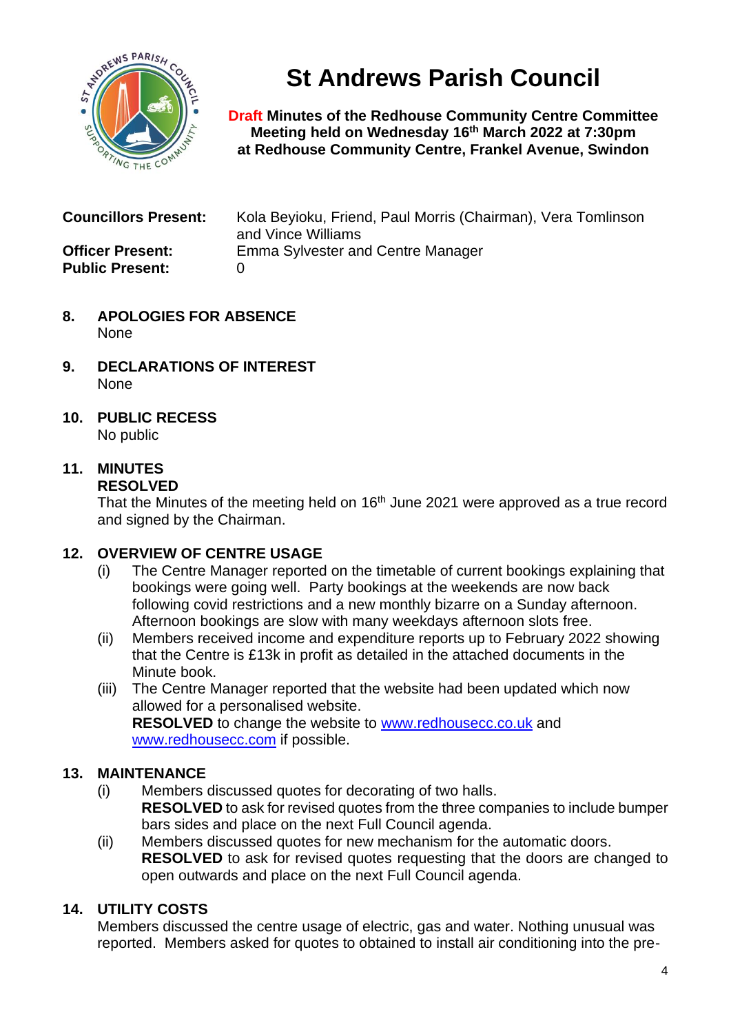

**St Andrews Parish Council**

**Draft Minutes of the Redhouse Community Centre Committee Meeting held on Wednesday 16 th March 2022 at 7:30pm at Redhouse Community Centre, Frankel Avenue, Swindon**

| <b>Councillors Present:</b>                       | Kola Beyioku, Friend, Paul Morris (Chairman), Vera Tomlinson<br>and Vince Williams |
|---------------------------------------------------|------------------------------------------------------------------------------------|
| <b>Officer Present:</b><br><b>Public Present:</b> | <b>Emma Sylvester and Centre Manager</b>                                           |

- **8. APOLOGIES FOR ABSENCE** None
- **9. DECLARATIONS OF INTEREST** None
- **10. PUBLIC RECESS** No public

# **11. MINUTES**

## **RESOLVED**

That the Minutes of the meeting held on  $16<sup>th</sup>$  June 2021 were approved as a true record and signed by the Chairman.

## **12. OVERVIEW OF CENTRE USAGE**

- (i) The Centre Manager reported on the timetable of current bookings explaining that bookings were going well. Party bookings at the weekends are now back following covid restrictions and a new monthly bizarre on a Sunday afternoon. Afternoon bookings are slow with many weekdays afternoon slots free.
- (ii) Members received income and expenditure reports up to February 2022 showing that the Centre is £13k in profit as detailed in the attached documents in the Minute book.
- (iii) The Centre Manager reported that the website had been updated which now allowed for a personalised website. **RESOLVED** to change the website to [www.redhousecc.co.uk](http://www.redhousecc.co.uk/) and [www.redhousecc.com](http://www.redhousecc.com/) if possible.

# **13. MAINTENANCE**

- (i) Members discussed quotes for decorating of two halls. **RESOLVED** to ask for revised quotes from the three companies to include bumper bars sides and place on the next Full Council agenda.
- (ii) Members discussed quotes for new mechanism for the automatic doors. **RESOLVED** to ask for revised quotes requesting that the doors are changed to open outwards and place on the next Full Council agenda.

# **14. UTILITY COSTS**

Members discussed the centre usage of electric, gas and water. Nothing unusual was reported. Members asked for quotes to obtained to install air conditioning into the pre